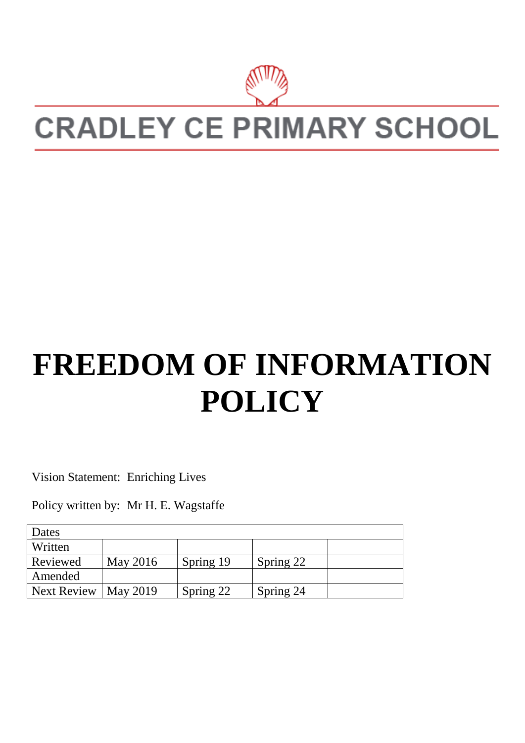

# **CRADLEY CE PRIMARY SCHOOL**

# **FREEDOM OF INFORMATION POLICY**

Vision Statement: Enriching Lives

Policy written by: Mr H. E. Wagstaffe

| <u>Dates</u>       |                 |           |           |  |
|--------------------|-----------------|-----------|-----------|--|
| Written            |                 |           |           |  |
| Reviewed           | May 2016        | Spring 19 | Spring 22 |  |
| Amended            |                 |           |           |  |
| <b>Next Review</b> | <b>May 2019</b> | Spring 22 | Spring 24 |  |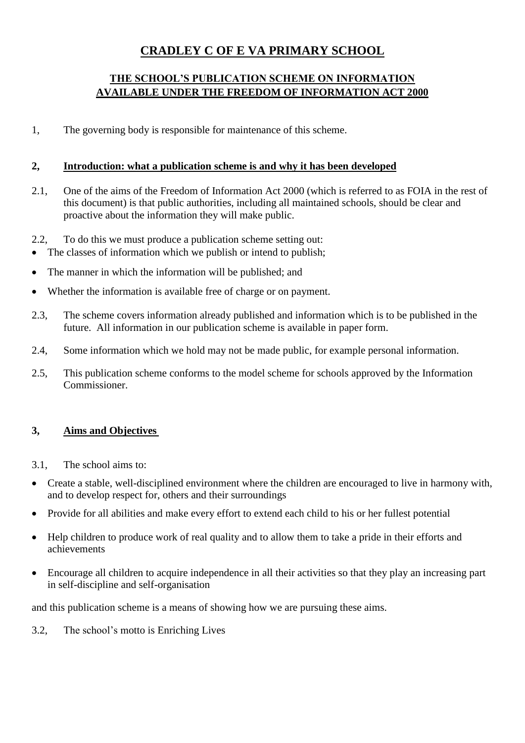# **CRADLEY C OF E VA PRIMARY SCHOOL**

### **THE SCHOOL'S PUBLICATION SCHEME ON INFORMATION AVAILABLE UNDER THE FREEDOM OF INFORMATION ACT 2000**

1, The governing body is responsible for maintenance of this scheme.

#### **2, Introduction: what a publication scheme is and why it has been developed**

- 2.1, One of the aims of the Freedom of Information Act 2000 (which is referred to as FOIA in the rest of this document) is that public authorities, including all maintained schools, should be clear and proactive about the information they will make public.
- 2.2, To do this we must produce a publication scheme setting out:
- The classes of information which we publish or intend to publish;
- The manner in which the information will be published; and
- Whether the information is available free of charge or on payment.
- 2.3, The scheme covers information already published and information which is to be published in the future. All information in our publication scheme is available in paper form.
- 2.4, Some information which we hold may not be made public, for example personal information.
- 2.5, This publication scheme conforms to the model scheme for schools approved by the Information Commissioner.

### **3, Aims and Objectives**

- 3.1, The school aims to:
- Create a stable, well-disciplined environment where the children are encouraged to live in harmony with, and to develop respect for, others and their surroundings
- Provide for all abilities and make every effort to extend each child to his or her fullest potential
- Help children to produce work of real quality and to allow them to take a pride in their efforts and achievements
- Encourage all children to acquire independence in all their activities so that they play an increasing part in self-discipline and self-organisation

and this publication scheme is a means of showing how we are pursuing these aims.

3.2, The school's motto is Enriching Lives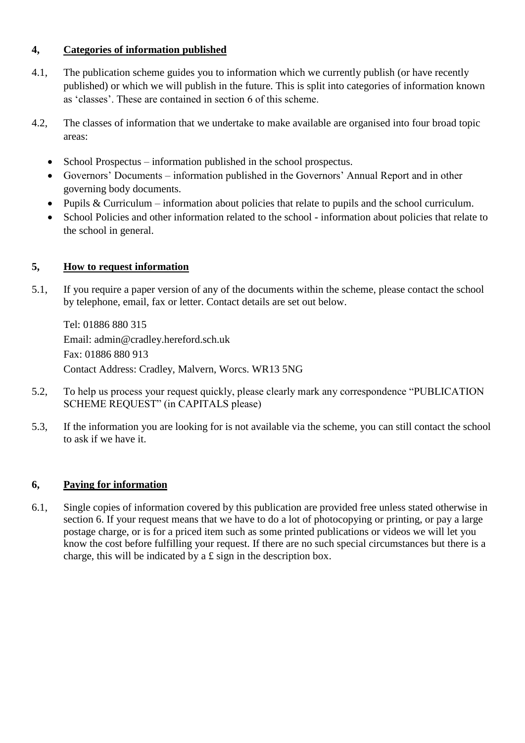### **4, Categories of information published**

- 4.1, The publication scheme guides you to information which we currently publish (or have recently published) or which we will publish in the future. This is split into categories of information known as 'classes'. These are contained in section 6 of this scheme.
- 4.2, The classes of information that we undertake to make available are organised into four broad topic areas:
	- School Prospectus information published in the school prospectus.
	- Governors' Documents information published in the Governors' Annual Report and in other governing body documents.
	- Pupils & Curriculum information about policies that relate to pupils and the school curriculum.
	- School Policies and other information related to the school information about policies that relate to the school in general.

#### **5, How to request information**

5.1, If you require a paper version of any of the documents within the scheme, please contact the school by telephone, email, fax or letter. Contact details are set out below.

Tel: 01886 880 315 Email: admin@cradley.hereford.sch.uk Fax: 01886 880 913 Contact Address: Cradley, Malvern, Worcs. WR13 5NG

- 5.2, To help us process your request quickly, please clearly mark any correspondence "PUBLICATION SCHEME REQUEST" (in CAPITALS please)
- 5.3, If the information you are looking for is not available via the scheme, you can still contact the school to ask if we have it.

### **6, Paying for information**

6.1, Single copies of information covered by this publication are provided free unless stated otherwise in section 6. If your request means that we have to do a lot of photocopying or printing, or pay a large postage charge, or is for a priced item such as some printed publications or videos we will let you know the cost before fulfilling your request. If there are no such special circumstances but there is a charge, this will be indicated by a £ sign in the description box.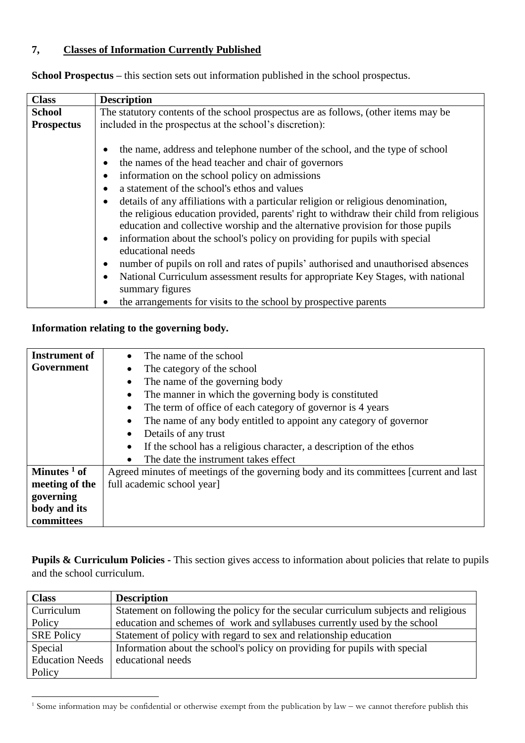## **7, Classes of Information Currently Published**

| <b>Class</b>      | <b>Description</b>                                                                                                                                                                                                                                                                                                                                                                                                                                                                                                                                                                                                                                                                                                                                                                                                                                                            |  |  |  |  |  |  |  |  |
|-------------------|-------------------------------------------------------------------------------------------------------------------------------------------------------------------------------------------------------------------------------------------------------------------------------------------------------------------------------------------------------------------------------------------------------------------------------------------------------------------------------------------------------------------------------------------------------------------------------------------------------------------------------------------------------------------------------------------------------------------------------------------------------------------------------------------------------------------------------------------------------------------------------|--|--|--|--|--|--|--|--|
| <b>School</b>     | The statutory contents of the school prospectus are as follows, (other items may be                                                                                                                                                                                                                                                                                                                                                                                                                                                                                                                                                                                                                                                                                                                                                                                           |  |  |  |  |  |  |  |  |
| <b>Prospectus</b> | included in the prospectus at the school's discretion):                                                                                                                                                                                                                                                                                                                                                                                                                                                                                                                                                                                                                                                                                                                                                                                                                       |  |  |  |  |  |  |  |  |
|                   | the name, address and telephone number of the school, and the type of school<br>the names of the head teacher and chair of governors<br>information on the school policy on admissions<br>a statement of the school's ethos and values<br>details of any affiliations with a particular religion or religious denomination,<br>the religious education provided, parents' right to withdraw their child from religious<br>education and collective worship and the alternative provision for those pupils<br>information about the school's policy on providing for pupils with special<br>educational needs<br>number of pupils on roll and rates of pupils' authorised and unauthorised absences<br>National Curriculum assessment results for appropriate Key Stages, with national<br>summary figures<br>the arrangements for visits to the school by prospective parents |  |  |  |  |  |  |  |  |

**School Prospectus –** this section sets out information published in the school prospectus.

### **Information relating to the governing body.**

1

| Instrument of           | The name of the school<br>$\bullet$                                                    |
|-------------------------|----------------------------------------------------------------------------------------|
| Government              | The category of the school<br>$\bullet$                                                |
|                         | The name of the governing body<br>$\bullet$                                            |
|                         | The manner in which the governing body is constituted<br>$\bullet$                     |
|                         | The term of office of each category of governor is 4 years<br>$\bullet$                |
|                         | The name of any body entitled to appoint any category of governor<br>$\bullet$         |
|                         | Details of any trust<br>$\bullet$                                                      |
|                         | If the school has a religious character, a description of the ethos                    |
|                         | The date the instrument takes effect<br>$\bullet$                                      |
| Minutes <sup>1</sup> of | Agreed minutes of meetings of the governing body and its committees [current and last] |
| meeting of the          | full academic school year]                                                             |
| governing               |                                                                                        |
| body and its            |                                                                                        |
| committees              |                                                                                        |

**Pupils & Curriculum Policies -** This section gives access to information about policies that relate to pupils and the school curriculum.

| <b>Class</b>           | <b>Description</b>                                                                  |
|------------------------|-------------------------------------------------------------------------------------|
| Curriculum             | Statement on following the policy for the secular curriculum subjects and religious |
| Policy                 | education and schemes of work and syllabuses currently used by the school           |
| <b>SRE Policy</b>      | Statement of policy with regard to sex and relationship education                   |
| Special                | Information about the school's policy on providing for pupils with special          |
| <b>Education Needs</b> | educational needs                                                                   |
| Policy                 |                                                                                     |

 $1$  Some information may be confidential or otherwise exempt from the publication by law – we cannot therefore publish this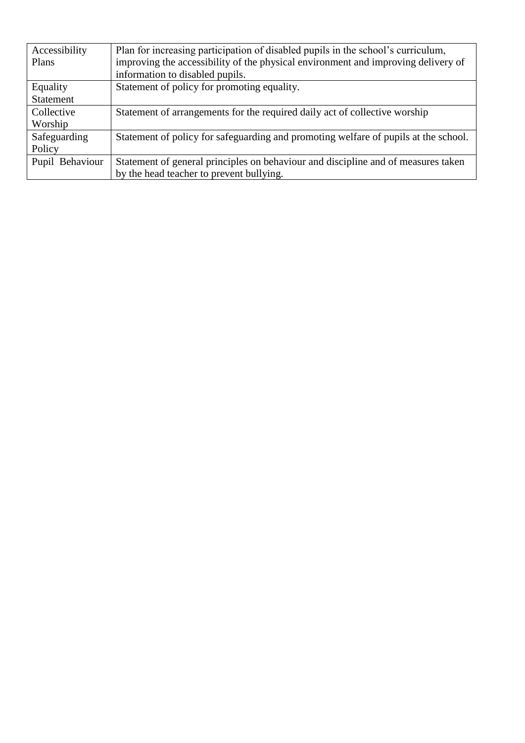| Accessibility    | Plan for increasing participation of disabled pupils in the school's curriculum,    |
|------------------|-------------------------------------------------------------------------------------|
| Plans            | improving the accessibility of the physical environment and improving delivery of   |
|                  | information to disabled pupils.                                                     |
| Equality         | Statement of policy for promoting equality.                                         |
| <b>Statement</b> |                                                                                     |
| Collective       | Statement of arrangements for the required daily act of collective worship          |
| Worship          |                                                                                     |
| Safeguarding     | Statement of policy for safeguarding and promoting welfare of pupils at the school. |
| Policy           |                                                                                     |
| Pupil Behaviour  | Statement of general principles on behaviour and discipline and of measures taken   |
|                  | by the head teacher to prevent bullying.                                            |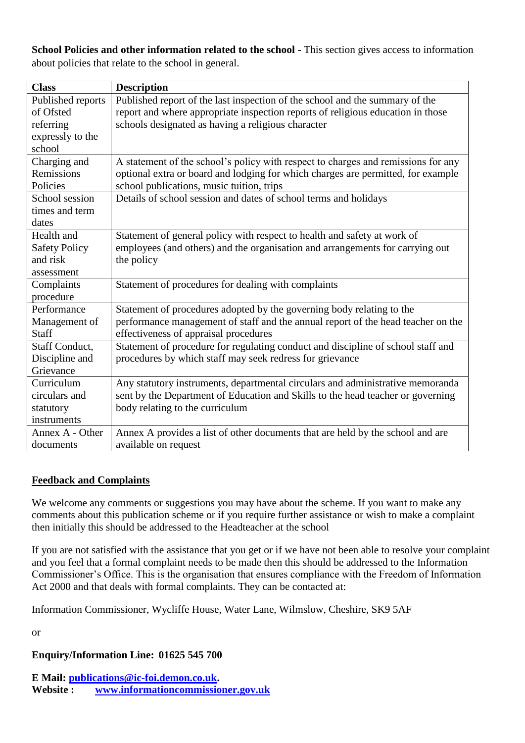**School Policies and other information related to the school -** This section gives access to information about policies that relate to the school in general.

| <b>Class</b>         | <b>Description</b>                                                                |
|----------------------|-----------------------------------------------------------------------------------|
| Published reports    | Published report of the last inspection of the school and the summary of the      |
| of Ofsted            | report and where appropriate inspection reports of religious education in those   |
| referring            | schools designated as having a religious character                                |
| expressly to the     |                                                                                   |
| school               |                                                                                   |
| Charging and         | A statement of the school's policy with respect to charges and remissions for any |
| Remissions           | optional extra or board and lodging for which charges are permitted, for example  |
| Policies             | school publications, music tuition, trips                                         |
| School session       | Details of school session and dates of school terms and holidays                  |
| times and term       |                                                                                   |
| dates                |                                                                                   |
| Health and           | Statement of general policy with respect to health and safety at work of          |
| <b>Safety Policy</b> | employees (and others) and the organisation and arrangements for carrying out     |
| and risk             | the policy                                                                        |
| assessment           |                                                                                   |
| Complaints           | Statement of procedures for dealing with complaints                               |
| procedure            |                                                                                   |
| Performance          | Statement of procedures adopted by the governing body relating to the             |
| Management of        | performance management of staff and the annual report of the head teacher on the  |
| Staff                | effectiveness of appraisal procedures                                             |
| Staff Conduct,       | Statement of procedure for regulating conduct and discipline of school staff and  |
| Discipline and       | procedures by which staff may seek redress for grievance                          |
| Grievance            |                                                                                   |
| Curriculum           | Any statutory instruments, departmental circulars and administrative memoranda    |
| circulars and        | sent by the Department of Education and Skills to the head teacher or governing   |
| statutory            | body relating to the curriculum                                                   |
| instruments          |                                                                                   |
| Annex A - Other      | Annex A provides a list of other documents that are held by the school and are    |
| documents            | available on request                                                              |

### **Feedback and Complaints**

We welcome any comments or suggestions you may have about the scheme. If you want to make any comments about this publication scheme or if you require further assistance or wish to make a complaint then initially this should be addressed to the Headteacher at the school

If you are not satisfied with the assistance that you get or if we have not been able to resolve your complaint and you feel that a formal complaint needs to be made then this should be addressed to the Information Commissioner's Office. This is the organisation that ensures compliance with the Freedom of Information Act 2000 and that deals with formal complaints. They can be contacted at:

Information Commissioner, Wycliffe House, Water Lane, Wilmslow, Cheshire, SK9 5AF

or

### **Enquiry/Information Line: 01625 545 700**

**E Mail: [publications@ic-foi.demon.co.uk.](mailto:publications@ic-foi.demonco.uk) Website : [www.informationcommissioner.gov.uk](http://www.informationcommissioner.gov.uk/)**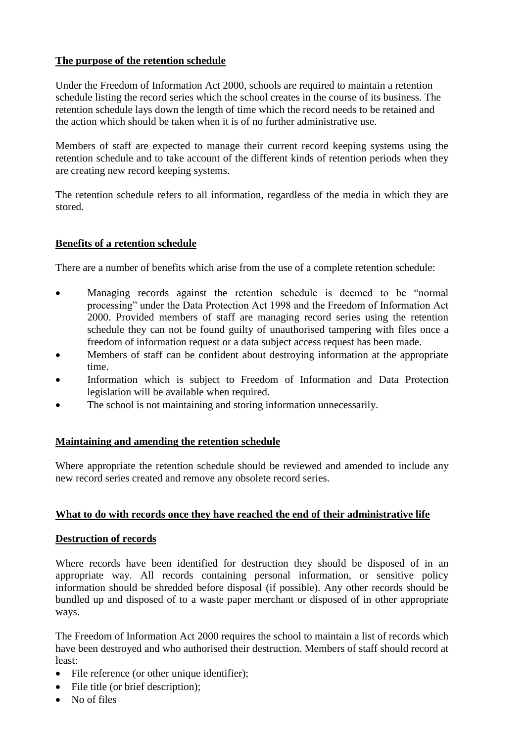#### **The purpose of the retention schedule**

Under the Freedom of Information Act 2000, schools are required to maintain a retention schedule listing the record series which the school creates in the course of its business. The retention schedule lays down the length of time which the record needs to be retained and the action which should be taken when it is of no further administrative use.

Members of staff are expected to manage their current record keeping systems using the retention schedule and to take account of the different kinds of retention periods when they are creating new record keeping systems.

The retention schedule refers to all information, regardless of the media in which they are stored.

#### **Benefits of a retention schedule**

There are a number of benefits which arise from the use of a complete retention schedule:

- Managing records against the retention schedule is deemed to be "normal" processing" under the Data Protection Act 1998 and the Freedom of Information Act 2000. Provided members of staff are managing record series using the retention schedule they can not be found guilty of unauthorised tampering with files once a freedom of information request or a data subject access request has been made.
- Members of staff can be confident about destroving information at the appropriate time.
- Information which is subject to Freedom of Information and Data Protection legislation will be available when required.
- The school is not maintaining and storing information unnecessarily.

#### **Maintaining and amending the retention schedule**

Where appropriate the retention schedule should be reviewed and amended to include any new record series created and remove any obsolete record series.

#### **What to do with records once they have reached the end of their administrative life**

#### **Destruction of records**

Where records have been identified for destruction they should be disposed of in an appropriate way. All records containing personal information, or sensitive policy information should be shredded before disposal (if possible). Any other records should be bundled up and disposed of to a waste paper merchant or disposed of in other appropriate ways.

The Freedom of Information Act 2000 requires the school to maintain a list of records which have been destroyed and who authorised their destruction. Members of staff should record at least:

- File reference (or other unique identifier):
- File title (or brief description);
- No of files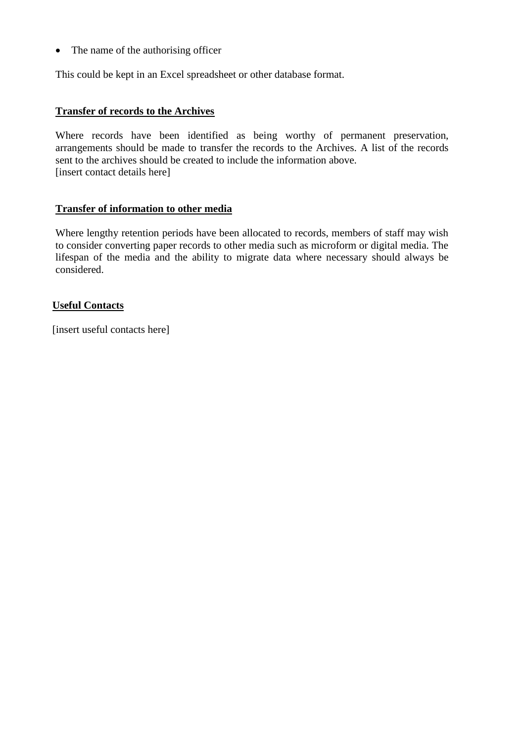• The name of the authorising officer

This could be kept in an Excel spreadsheet or other database format.

#### **Transfer of records to the Archives**

Where records have been identified as being worthy of permanent preservation, arrangements should be made to transfer the records to the Archives. A list of the records sent to the archives should be created to include the information above. [insert contact details here]

#### **Transfer of information to other media**

Where lengthy retention periods have been allocated to records, members of staff may wish to consider converting paper records to other media such as microform or digital media. The lifespan of the media and the ability to migrate data where necessary should always be considered.

#### **Useful Contacts**

[insert useful contacts here]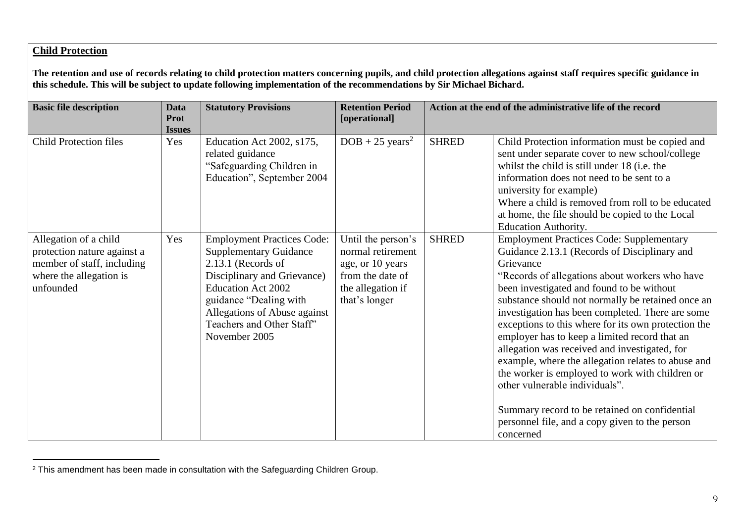#### **Child Protection**

 $\overline{a}$ 

**The retention and use of records relating to child protection matters concerning pupils, and child protection allegations against staff requires specific guidance in this schedule. This will be subject to update following implementation of the recommendations by Sir Michael Bichard.**

| <b>Basic file description</b>                                                                                              | <b>Data</b><br><b>Prot</b><br><b>Issues</b> | <b>Statutory Provisions</b>                                                                                                                                                                                                                                  | <b>Retention Period</b><br>[operational]                                                                              |              | Action at the end of the administrative life of the record                                                                                                                                                                                                                                                                                                                                                                                                                                                                                                                                                                                                                                                                               |
|----------------------------------------------------------------------------------------------------------------------------|---------------------------------------------|--------------------------------------------------------------------------------------------------------------------------------------------------------------------------------------------------------------------------------------------------------------|-----------------------------------------------------------------------------------------------------------------------|--------------|------------------------------------------------------------------------------------------------------------------------------------------------------------------------------------------------------------------------------------------------------------------------------------------------------------------------------------------------------------------------------------------------------------------------------------------------------------------------------------------------------------------------------------------------------------------------------------------------------------------------------------------------------------------------------------------------------------------------------------------|
| <b>Child Protection files</b>                                                                                              | Yes                                         | Education Act 2002, s175,<br>related guidance<br>"Safeguarding Children in<br>Education", September 2004                                                                                                                                                     | $DOB + 25 \text{ years}^2$                                                                                            | <b>SHRED</b> | Child Protection information must be copied and<br>sent under separate cover to new school/college<br>whilst the child is still under 18 (i.e. the<br>information does not need to be sent to a<br>university for example)<br>Where a child is removed from roll to be educated<br>at home, the file should be copied to the Local<br><b>Education Authority.</b>                                                                                                                                                                                                                                                                                                                                                                        |
| Allegation of a child<br>protection nature against a<br>member of staff, including<br>where the allegation is<br>unfounded | Yes                                         | <b>Employment Practices Code:</b><br><b>Supplementary Guidance</b><br>2.13.1 (Records of<br>Disciplinary and Grievance)<br><b>Education Act 2002</b><br>guidance "Dealing with<br>Allegations of Abuse against<br>Teachers and Other Staff"<br>November 2005 | Until the person's<br>normal retirement<br>age, or 10 years<br>from the date of<br>the allegation if<br>that's longer | <b>SHRED</b> | <b>Employment Practices Code: Supplementary</b><br>Guidance 2.13.1 (Records of Disciplinary and<br>Grievance<br>"Records of allegations about workers who have<br>been investigated and found to be without<br>substance should not normally be retained once an<br>investigation has been completed. There are some<br>exceptions to this where for its own protection the<br>employer has to keep a limited record that an<br>allegation was received and investigated, for<br>example, where the allegation relates to abuse and<br>the worker is employed to work with children or<br>other vulnerable individuals".<br>Summary record to be retained on confidential<br>personnel file, and a copy given to the person<br>concerned |

<sup>&</sup>lt;sup>2</sup> This amendment has been made in consultation with the Safeguarding Children Group.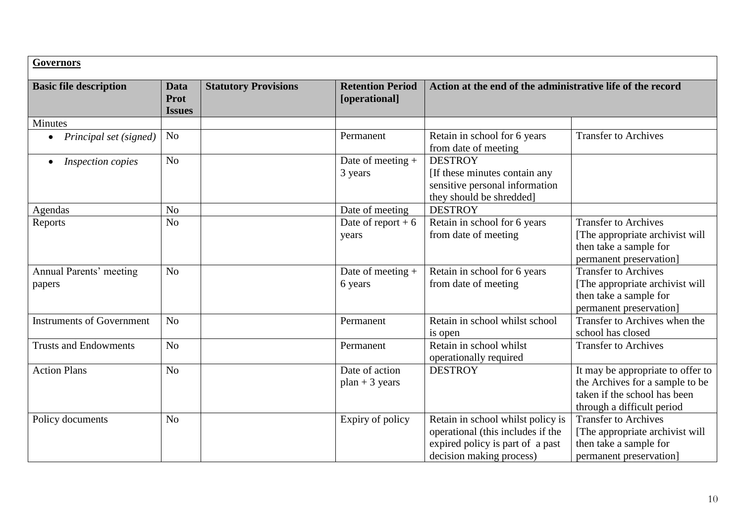| <b>Governors</b>                      |                               |                             |                                          |                                                                                                                                        |                                                                                                                                    |  |  |
|---------------------------------------|-------------------------------|-----------------------------|------------------------------------------|----------------------------------------------------------------------------------------------------------------------------------------|------------------------------------------------------------------------------------------------------------------------------------|--|--|
| <b>Basic file description</b>         | Data<br>Prot<br><b>Issues</b> | <b>Statutory Provisions</b> | <b>Retention Period</b><br>[operational] | Action at the end of the administrative life of the record                                                                             |                                                                                                                                    |  |  |
| <b>Minutes</b>                        |                               |                             |                                          |                                                                                                                                        |                                                                                                                                    |  |  |
| Principal set (signed)                | N <sub>o</sub>                |                             | Permanent                                | Retain in school for 6 years<br>from date of meeting                                                                                   | <b>Transfer to Archives</b>                                                                                                        |  |  |
| <b>Inspection copies</b><br>$\bullet$ | N <sub>o</sub>                |                             | Date of meeting $+$<br>3 years           | <b>DESTROY</b><br>[If these minutes contain any<br>sensitive personal information<br>they should be shredded]                          |                                                                                                                                    |  |  |
| Agendas                               | N <sub>o</sub>                |                             | Date of meeting                          | <b>DESTROY</b>                                                                                                                         |                                                                                                                                    |  |  |
| Reports                               | N <sub>o</sub>                |                             | Date of report $+6$<br>years             | Retain in school for 6 years<br>from date of meeting                                                                                   | <b>Transfer to Archives</b><br>[The appropriate archivist will]<br>then take a sample for<br>permanent preservation]               |  |  |
| Annual Parents' meeting<br>papers     | N <sub>o</sub>                |                             | Date of meeting +<br>6 years             | Retain in school for 6 years<br>from date of meeting                                                                                   | <b>Transfer to Archives</b><br>[The appropriate archivist will<br>then take a sample for<br>permanent preservation]                |  |  |
| <b>Instruments of Government</b>      | N <sub>o</sub>                |                             | Permanent                                | Retain in school whilst school<br>is open                                                                                              | Transfer to Archives when the<br>school has closed                                                                                 |  |  |
| <b>Trusts and Endowments</b>          | N <sub>o</sub>                |                             | Permanent                                | Retain in school whilst<br>operationally required                                                                                      | <b>Transfer to Archives</b>                                                                                                        |  |  |
| <b>Action Plans</b>                   | N <sub>o</sub>                |                             | Date of action<br>$plan + 3 years$       | <b>DESTROY</b>                                                                                                                         | It may be appropriate to offer to<br>the Archives for a sample to be<br>taken if the school has been<br>through a difficult period |  |  |
| Policy documents                      | N <sub>o</sub>                |                             | Expiry of policy                         | Retain in school whilst policy is<br>operational (this includes if the<br>expired policy is part of a past<br>decision making process) | <b>Transfer to Archives</b><br>[The appropriate archivist will]<br>then take a sample for<br>permanent preservation]               |  |  |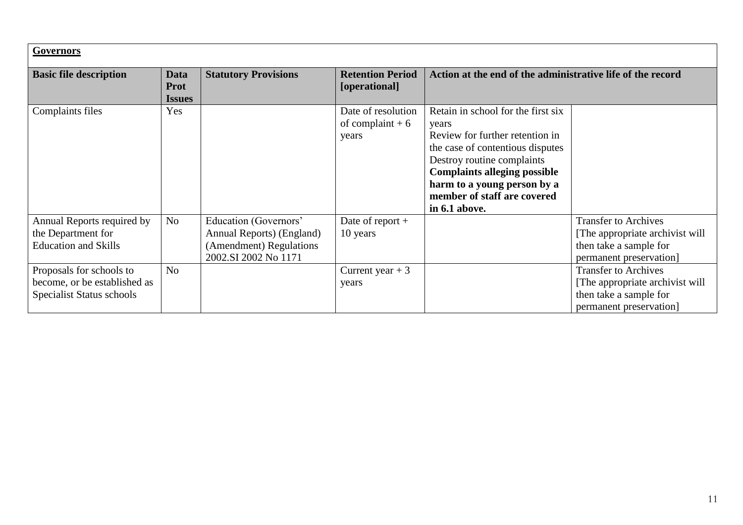| <b>Governors</b>                                                                      |                                      |                                                                                                       |                                                  |                                                                                                                                                                                                                                                                        |                                                                                                                      |  |  |
|---------------------------------------------------------------------------------------|--------------------------------------|-------------------------------------------------------------------------------------------------------|--------------------------------------------------|------------------------------------------------------------------------------------------------------------------------------------------------------------------------------------------------------------------------------------------------------------------------|----------------------------------------------------------------------------------------------------------------------|--|--|
| <b>Basic file description</b>                                                         | Data<br><b>Prot</b><br><b>Issues</b> | <b>Statutory Provisions</b>                                                                           | <b>Retention Period</b><br>[operational]         | Action at the end of the administrative life of the record                                                                                                                                                                                                             |                                                                                                                      |  |  |
| Complaints files                                                                      | Yes                                  |                                                                                                       | Date of resolution<br>of complaint $+6$<br>years | Retain in school for the first six<br>years<br>Review for further retention in<br>the case of contentious disputes<br>Destroy routine complaints<br><b>Complaints alleging possible</b><br>harm to a young person by a<br>member of staff are covered<br>in 6.1 above. |                                                                                                                      |  |  |
| Annual Reports required by<br>the Department for<br><b>Education and Skills</b>       | N <sub>o</sub>                       | Education (Governors'<br>Annual Reports) (England)<br>(Amendment) Regulations<br>2002.SI 2002 No 1171 | Date of report $+$<br>10 years                   |                                                                                                                                                                                                                                                                        | <b>Transfer to Archives</b><br>[The appropriate archivist will]<br>then take a sample for<br>permanent preservation] |  |  |
| Proposals for schools to<br>become, or be established as<br>Specialist Status schools | N <sub>o</sub>                       |                                                                                                       | Current year $+3$<br>years                       |                                                                                                                                                                                                                                                                        | <b>Transfer to Archives</b><br>[The appropriate archivist will]<br>then take a sample for<br>permanent preservation] |  |  |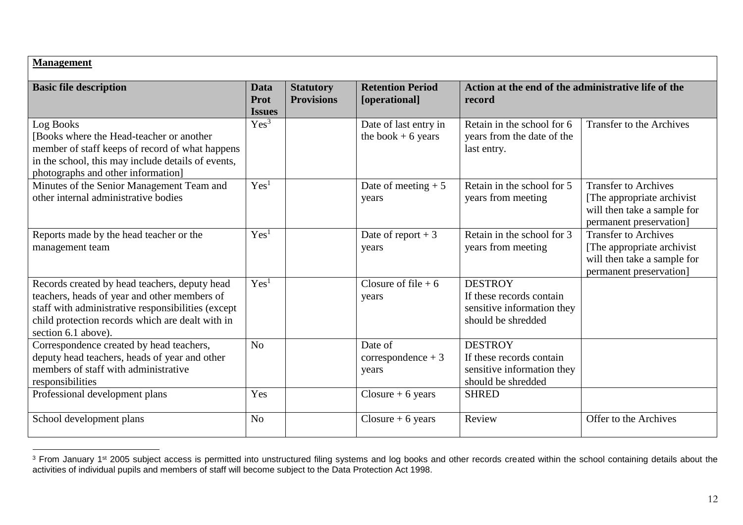| <b>Management</b>                                                                                                                                                                                                              |                               |                                       |                                               |                                                                                                |                                                                                                                      |  |  |
|--------------------------------------------------------------------------------------------------------------------------------------------------------------------------------------------------------------------------------|-------------------------------|---------------------------------------|-----------------------------------------------|------------------------------------------------------------------------------------------------|----------------------------------------------------------------------------------------------------------------------|--|--|
| <b>Basic file description</b>                                                                                                                                                                                                  | Data<br>Prot<br><b>Issues</b> | <b>Statutory</b><br><b>Provisions</b> | <b>Retention Period</b><br>[operational]      | Action at the end of the administrative life of the<br>record                                  |                                                                                                                      |  |  |
| Log Books<br>[Books where the Head-teacher or another<br>member of staff keeps of record of what happens<br>in the school, this may include details of events,<br>photographs and other information]                           | Yes <sup>3</sup>              |                                       | Date of last entry in<br>the book $+ 6$ years | Retain in the school for 6<br>years from the date of the<br>last entry.                        | <b>Transfer to the Archives</b>                                                                                      |  |  |
| Minutes of the Senior Management Team and<br>other internal administrative bodies                                                                                                                                              | Yes <sup>1</sup>              |                                       | Date of meeting $+5$<br>years                 | Retain in the school for 5<br>years from meeting                                               | <b>Transfer to Archives</b><br>[The appropriate archivist]<br>will then take a sample for<br>permanent preservation] |  |  |
| Reports made by the head teacher or the<br>management team                                                                                                                                                                     | Yes <sup>1</sup>              |                                       | Date of report $+3$<br>years                  | Retain in the school for 3<br>years from meeting                                               | <b>Transfer to Archives</b><br>[The appropriate archivist]<br>will then take a sample for<br>permanent preservation] |  |  |
| Records created by head teachers, deputy head<br>teachers, heads of year and other members of<br>staff with administrative responsibilities (except<br>child protection records which are dealt with in<br>section 6.1 above). | Yes <sup>1</sup>              |                                       | Closure of file $+6$<br>years                 | <b>DESTROY</b><br>If these records contain<br>sensitive information they<br>should be shredded |                                                                                                                      |  |  |
| Correspondence created by head teachers,<br>deputy head teachers, heads of year and other<br>members of staff with administrative<br>responsibilities                                                                          | N <sub>o</sub>                |                                       | Date of<br>$correspondence + 3$<br>years      | <b>DESTROY</b><br>If these records contain<br>sensitive information they<br>should be shredded |                                                                                                                      |  |  |
| Professional development plans                                                                                                                                                                                                 | Yes                           |                                       | Closure $+6$ years                            | <b>SHRED</b>                                                                                   |                                                                                                                      |  |  |
| School development plans                                                                                                                                                                                                       | N <sub>o</sub>                |                                       | Closure $+6$ years                            | Review                                                                                         | Offer to the Archives                                                                                                |  |  |

 $\overline{a}$  $3$  From January 1st 2005 subject access is permitted into unstructured filing systems and log books and other records created within the school containing details about the activities of individual pupils and members of staff will become subject to the Data Protection Act 1998.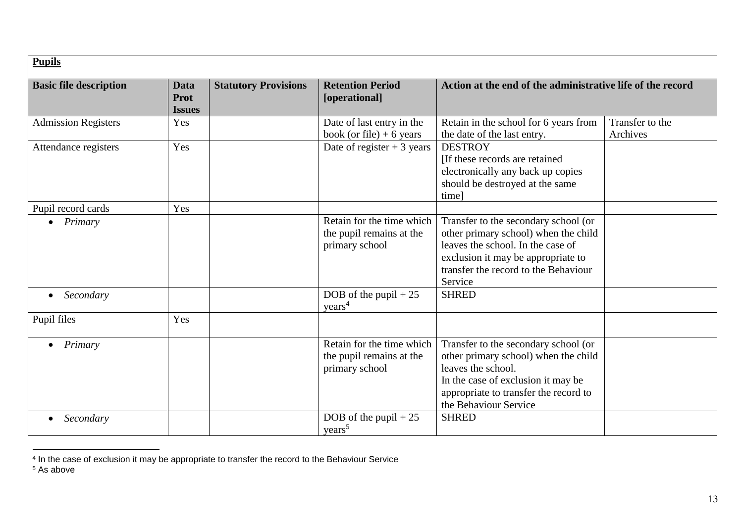| <b>Pupils</b>                 |                                             |                             |                                                                         |                                                                                                                                                                                                            |                             |  |
|-------------------------------|---------------------------------------------|-----------------------------|-------------------------------------------------------------------------|------------------------------------------------------------------------------------------------------------------------------------------------------------------------------------------------------------|-----------------------------|--|
| <b>Basic file description</b> | <b>Data</b><br><b>Prot</b><br><b>Issues</b> | <b>Statutory Provisions</b> | <b>Retention Period</b><br>[operational]                                | Action at the end of the administrative life of the record                                                                                                                                                 |                             |  |
| <b>Admission Registers</b>    | Yes                                         |                             | Date of last entry in the<br>book (or file) $+6$ years                  | Retain in the school for 6 years from<br>the date of the last entry.                                                                                                                                       | Transfer to the<br>Archives |  |
| Attendance registers          | Yes                                         |                             | Date of register $+3$ years                                             | <b>DESTROY</b><br>[If these records are retained<br>electronically any back up copies<br>should be destroyed at the same<br>time]                                                                          |                             |  |
| Pupil record cards            | Yes                                         |                             |                                                                         |                                                                                                                                                                                                            |                             |  |
| Primary                       |                                             |                             | Retain for the time which<br>the pupil remains at the<br>primary school | Transfer to the secondary school (or<br>other primary school) when the child<br>leaves the school. In the case of<br>exclusion it may be appropriate to<br>transfer the record to the Behaviour<br>Service |                             |  |
| Secondary                     |                                             |                             | DOB of the pupil $+25$<br>years <sup>4</sup>                            | <b>SHRED</b>                                                                                                                                                                                               |                             |  |
| Pupil files                   | Yes                                         |                             |                                                                         |                                                                                                                                                                                                            |                             |  |
| Primary<br>$\bullet$          |                                             |                             | Retain for the time which<br>the pupil remains at the<br>primary school | Transfer to the secondary school (or<br>other primary school) when the child<br>leaves the school.<br>In the case of exclusion it may be<br>appropriate to transfer the record to<br>the Behaviour Service |                             |  |
| Secondary                     |                                             |                             | DOB of the pupil $+25$<br>years <sup>5</sup>                            | <b>SHRED</b>                                                                                                                                                                                               |                             |  |

 4 In the case of exclusion it may be appropriate to transfer the record to the Behaviour Service

<sup>5</sup> As above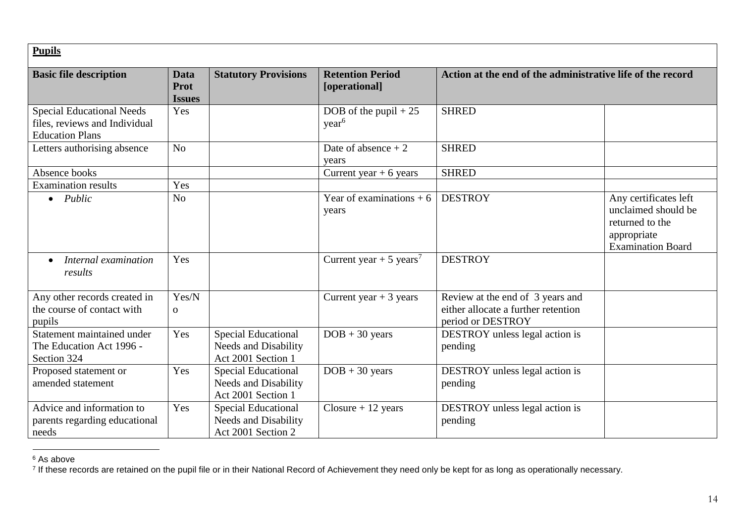| <b>Pupils</b>                                                                               |                                             |                                                                                 |                                             |                                                                                              |                                                                                                            |  |  |
|---------------------------------------------------------------------------------------------|---------------------------------------------|---------------------------------------------------------------------------------|---------------------------------------------|----------------------------------------------------------------------------------------------|------------------------------------------------------------------------------------------------------------|--|--|
| <b>Basic file description</b>                                                               | <b>Data</b><br><b>Prot</b><br><b>Issues</b> | <b>Statutory Provisions</b>                                                     | <b>Retention Period</b><br>[operational]    | Action at the end of the administrative life of the record                                   |                                                                                                            |  |  |
| <b>Special Educational Needs</b><br>files, reviews and Individual<br><b>Education Plans</b> | Yes                                         |                                                                                 | DOB of the pupil $+25$<br>year <sup>6</sup> | <b>SHRED</b>                                                                                 |                                                                                                            |  |  |
| Letters authorising absence                                                                 | No                                          |                                                                                 | Date of absence $+2$<br>vears               | <b>SHRED</b>                                                                                 |                                                                                                            |  |  |
| Absence books                                                                               |                                             |                                                                                 | Current year $+ 6$ years                    | <b>SHRED</b>                                                                                 |                                                                                                            |  |  |
| <b>Examination results</b>                                                                  | Yes                                         |                                                                                 |                                             |                                                                                              |                                                                                                            |  |  |
| $\bullet$ <i>Public</i>                                                                     | N <sub>o</sub>                              |                                                                                 | Year of examinations $+6$<br>years          | <b>DESTROY</b>                                                                               | Any certificates left<br>unclaimed should be<br>returned to the<br>appropriate<br><b>Examination Board</b> |  |  |
| Internal examination<br>$\bullet$<br>results                                                | Yes                                         |                                                                                 | Current year + 5 years <sup>7</sup>         | <b>DESTROY</b>                                                                               |                                                                                                            |  |  |
| Any other records created in<br>the course of contact with<br>pupils                        | Yes/N<br>$\mathbf{O}$                       |                                                                                 | Current year $+3$ years                     | Review at the end of 3 years and<br>either allocate a further retention<br>period or DESTROY |                                                                                                            |  |  |
| Statement maintained under<br>The Education Act 1996 -<br>Section 324                       | Yes                                         | <b>Special Educational</b><br>Needs and Disability<br>Act 2001 Section 1        | $DOB + 30 \text{ years}$                    | DESTROY unless legal action is<br>pending                                                    |                                                                                                            |  |  |
| Proposed statement or<br>amended statement                                                  | Yes                                         | Special Educational<br><b>Needs and Disability</b><br>Act 2001 Section 1        | $DOB + 30 \text{ years}$                    | DESTROY unless legal action is<br>pending                                                    |                                                                                                            |  |  |
| Advice and information to<br>parents regarding educational<br>needs                         | Yes                                         | <b>Special Educational</b><br><b>Needs and Disability</b><br>Act 2001 Section 2 | $Closure + 12 years$                        | DESTROY unless legal action is<br>pending                                                    |                                                                                                            |  |  |

 $\overline{a}$ 

 $^6$  As above<br><sup>7</sup> If these records are retained on the pupil file or in their National Record of Achievement they need only be kept for as long as operationally necessary.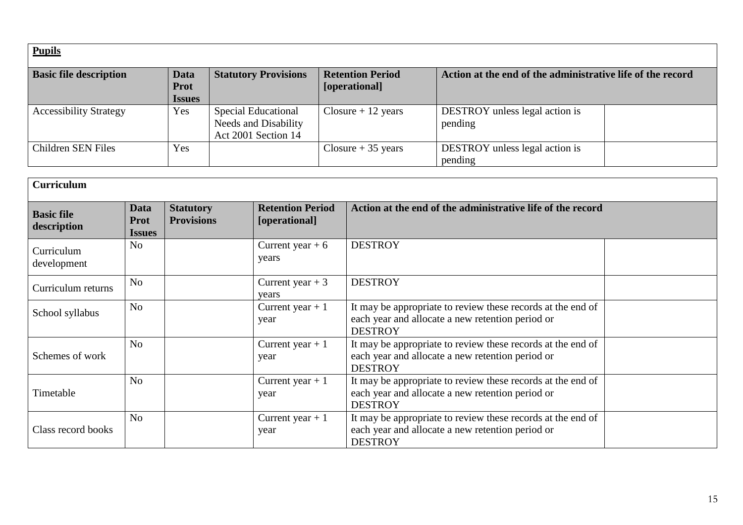| <b>Pupils</b>                 |                             |                             |                              |                                                            |  |
|-------------------------------|-----------------------------|-----------------------------|------------------------------|------------------------------------------------------------|--|
| <b>Basic file description</b> | Data                        | <b>Statutory Provisions</b> | <b>Retention Period</b>      | Action at the end of the administrative life of the record |  |
|                               | <b>Prot</b>                 |                             | [operational]                |                                                            |  |
|                               | <i><u><b>Issues</b></u></i> |                             |                              |                                                            |  |
| <b>Accessibility Strategy</b> | Yes                         | Special Educational         | $Closure + 12 \text{ years}$ | <b>DESTROY</b> unless legal action is                      |  |
|                               |                             | Needs and Disability        |                              | pending                                                    |  |
|                               |                             | Act 2001 Section 14         |                              |                                                            |  |
| Children SEN Files            | Yes                         |                             | Closure $+35$ years          | DESTROY unless legal action is                             |  |
|                               |                             |                             |                              | pending                                                    |  |

| <b>Curriculum</b>                |                                                    |                                       |                                          |                                                                                                                                   |  |  |
|----------------------------------|----------------------------------------------------|---------------------------------------|------------------------------------------|-----------------------------------------------------------------------------------------------------------------------------------|--|--|
| <b>Basic file</b><br>description | Data<br><b>Prot</b><br><i><u><b>Issues</b></u></i> | <b>Statutory</b><br><b>Provisions</b> | <b>Retention Period</b><br>[operational] | Action at the end of the administrative life of the record                                                                        |  |  |
| Curriculum<br>development        | N <sub>o</sub>                                     |                                       | Current year $+6$<br>years               | <b>DESTROY</b>                                                                                                                    |  |  |
| Curriculum returns               | N <sub>o</sub>                                     |                                       | Current year $+3$<br>years               | <b>DESTROY</b>                                                                                                                    |  |  |
| School syllabus                  | N <sub>o</sub>                                     |                                       | Current year $+1$<br>year                | It may be appropriate to review these records at the end of<br>each year and allocate a new retention period or<br><b>DESTROY</b> |  |  |
| Schemes of work                  | N <sub>o</sub>                                     |                                       | Current year $+1$<br>year                | It may be appropriate to review these records at the end of<br>each year and allocate a new retention period or<br><b>DESTROY</b> |  |  |
| Timetable                        | N <sub>0</sub>                                     |                                       | Current year $+1$<br>year                | It may be appropriate to review these records at the end of<br>each year and allocate a new retention period or<br><b>DESTROY</b> |  |  |
| Class record books               | N <sub>o</sub>                                     |                                       | Current year $+1$<br>year                | It may be appropriate to review these records at the end of<br>each year and allocate a new retention period or<br><b>DESTROY</b> |  |  |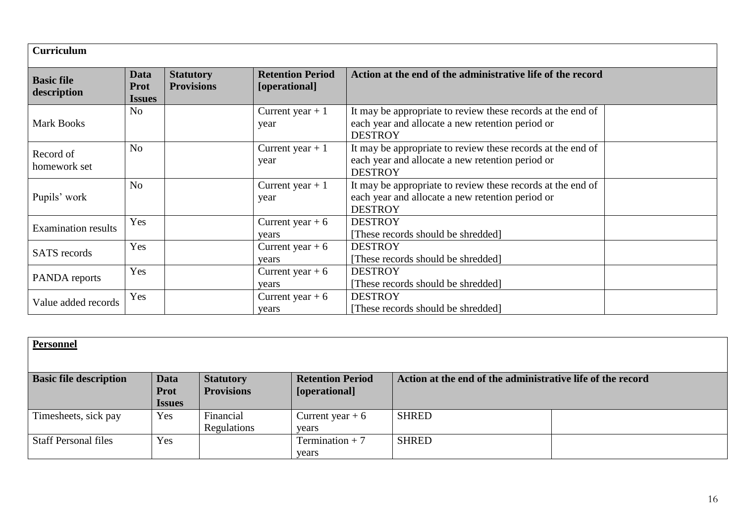| <b>Curriculum</b>                |                                             |                                       |                                          |                                                                                                                                   |  |
|----------------------------------|---------------------------------------------|---------------------------------------|------------------------------------------|-----------------------------------------------------------------------------------------------------------------------------------|--|
| <b>Basic file</b><br>description | <b>Data</b><br><b>Prot</b><br><b>Issues</b> | <b>Statutory</b><br><b>Provisions</b> | <b>Retention Period</b><br>[operational] | Action at the end of the administrative life of the record                                                                        |  |
| <b>Mark Books</b>                | N <sub>o</sub>                              |                                       | Current year $+1$<br>year                | It may be appropriate to review these records at the end of<br>each year and allocate a new retention period or<br><b>DESTROY</b> |  |
| Record of<br>homework set        | N <sub>o</sub>                              |                                       | Current year $+1$<br>year                | It may be appropriate to review these records at the end of<br>each year and allocate a new retention period or<br><b>DESTROY</b> |  |
| Pupils' work                     | No                                          |                                       | Current year $+1$<br>year                | It may be appropriate to review these records at the end of<br>each year and allocate a new retention period or<br><b>DESTROY</b> |  |
| <b>Examination results</b>       | Yes                                         |                                       | Current year $+6$<br>vears               | <b>DESTROY</b><br>[These records should be shredded]                                                                              |  |
| <b>SATS</b> records              | Yes                                         |                                       | Current year $+6$<br>vears               | <b>DESTROY</b><br>[These records should be shredded]                                                                              |  |
| PANDA reports                    | Yes                                         |                                       | Current year $+6$<br>years               | <b>DESTROY</b><br>[These records should be shredded]                                                                              |  |
| Value added records              | Yes                                         |                                       | Current year $+6$<br>years               | <b>DESTROY</b><br>[These records should be shredded]                                                                              |  |

| <b>Personnel</b>              |                                             |                                       |                                          |                                                            |  |
|-------------------------------|---------------------------------------------|---------------------------------------|------------------------------------------|------------------------------------------------------------|--|
| <b>Basic file description</b> | <b>Data</b><br><b>Prot</b><br><b>Issues</b> | <b>Statutory</b><br><b>Provisions</b> | <b>Retention Period</b><br>[operational] | Action at the end of the administrative life of the record |  |
| Timesheets, sick pay          | Yes                                         | Financial<br>Regulations              | Current year $+6$<br>vears               | <b>SHRED</b>                                               |  |
| <b>Staff Personal files</b>   | Yes                                         |                                       | Termination $+7$<br>years                | <b>SHRED</b>                                               |  |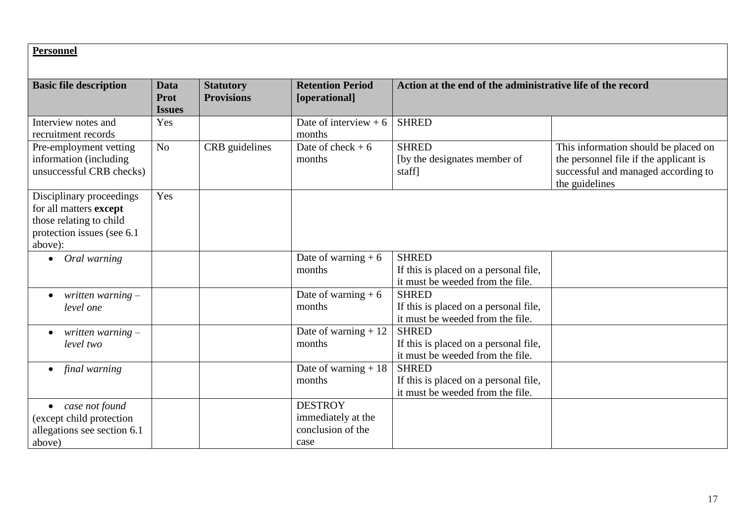| <b>Personnel</b>                                                                                                        |                                      |                                       |                                                                   |                                                                                           |                                                                                                                                         |
|-------------------------------------------------------------------------------------------------------------------------|--------------------------------------|---------------------------------------|-------------------------------------------------------------------|-------------------------------------------------------------------------------------------|-----------------------------------------------------------------------------------------------------------------------------------------|
| <b>Basic file description</b>                                                                                           | <b>Data</b><br>Prot<br><b>Issues</b> | <b>Statutory</b><br><b>Provisions</b> | <b>Retention Period</b><br>[operational]                          | Action at the end of the administrative life of the record                                |                                                                                                                                         |
| Interview notes and<br>recruitment records                                                                              | Yes                                  |                                       | Date of interview $+6$<br>months                                  | <b>SHRED</b>                                                                              |                                                                                                                                         |
| Pre-employment vetting<br>information (including<br>unsuccessful CRB checks)                                            | N <sub>o</sub>                       | CRB guidelines                        | Date of check $+6$<br>months                                      | <b>SHRED</b><br>[by the designates member of<br>staff]                                    | This information should be placed on<br>the personnel file if the applicant is<br>successful and managed according to<br>the guidelines |
| Disciplinary proceedings<br>for all matters except<br>those relating to child<br>protection issues (see 6.1)<br>above): | Yes                                  |                                       |                                                                   |                                                                                           |                                                                                                                                         |
| Oral warning<br>$\bullet$                                                                                               |                                      |                                       | Date of warning $+6$<br>months                                    | <b>SHRED</b><br>If this is placed on a personal file,<br>it must be weeded from the file. |                                                                                                                                         |
| written warning $-$<br>$\bullet$<br>level one                                                                           |                                      |                                       | Date of warning $+6$<br>months                                    | <b>SHRED</b><br>If this is placed on a personal file,<br>it must be weeded from the file. |                                                                                                                                         |
| written warning $-$<br>level two                                                                                        |                                      |                                       | Date of warning $+12$<br>months                                   | <b>SHRED</b><br>If this is placed on a personal file,<br>it must be weeded from the file. |                                                                                                                                         |
| final warning<br>$\bullet$                                                                                              |                                      |                                       | Date of warning $+18$<br>months                                   | <b>SHRED</b><br>If this is placed on a personal file,<br>it must be weeded from the file. |                                                                                                                                         |
| case not found<br>$\bullet$<br>(except child protection<br>allegations see section 6.1<br>above)                        |                                      |                                       | <b>DESTROY</b><br>immediately at the<br>conclusion of the<br>case |                                                                                           |                                                                                                                                         |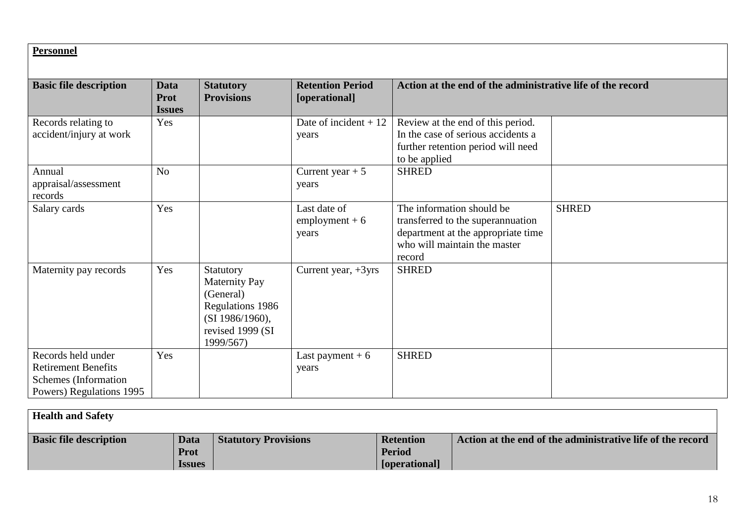#### **Personnel**

| <b>Basic file description</b>                                                                        | Data<br><b>Prot</b><br><b>Issues</b> | <b>Statutory</b><br><b>Provisions</b>                                                                                  | <b>Retention Period</b><br>[operational]  | Action at the end of the administrative life of the record                                                                                     |              |
|------------------------------------------------------------------------------------------------------|--------------------------------------|------------------------------------------------------------------------------------------------------------------------|-------------------------------------------|------------------------------------------------------------------------------------------------------------------------------------------------|--------------|
| Records relating to<br>accident/injury at work                                                       | Yes                                  |                                                                                                                        | Date of incident $+12$<br>years           | Review at the end of this period.<br>In the case of serious accidents a<br>further retention period will need<br>to be applied                 |              |
| Annual<br>appraisal/assessment<br>records                                                            | No                                   |                                                                                                                        | Current year $+5$<br>years                | <b>SHRED</b>                                                                                                                                   |              |
| Salary cards                                                                                         | Yes                                  |                                                                                                                        | Last date of<br>$employment + 6$<br>years | The information should be<br>transferred to the superannuation<br>department at the appropriate time<br>who will maintain the master<br>record | <b>SHRED</b> |
| Maternity pay records                                                                                | Yes                                  | Statutory<br><b>Maternity Pay</b><br>(General)<br>Regulations 1986<br>(SI 1986/1960),<br>revised 1999 (SI<br>1999/567) | Current year, $+3yrs$                     | <b>SHRED</b>                                                                                                                                   |              |
| Records held under<br><b>Retirement Benefits</b><br>Schemes (Information<br>Powers) Regulations 1995 | Yes                                  |                                                                                                                        | Last payment $+6$<br>years                | <b>SHRED</b>                                                                                                                                   |              |

| <b>Health and Safety</b>      |                     |                             |                                   |                                                            |
|-------------------------------|---------------------|-----------------------------|-----------------------------------|------------------------------------------------------------|
| <b>Basic file description</b> | Data<br><b>Prot</b> | <b>Statutory Provisions</b> | <b>Retention</b><br><b>Period</b> | Action at the end of the administrative life of the record |
|                               | <b>Issues</b>       |                             | [operational]                     |                                                            |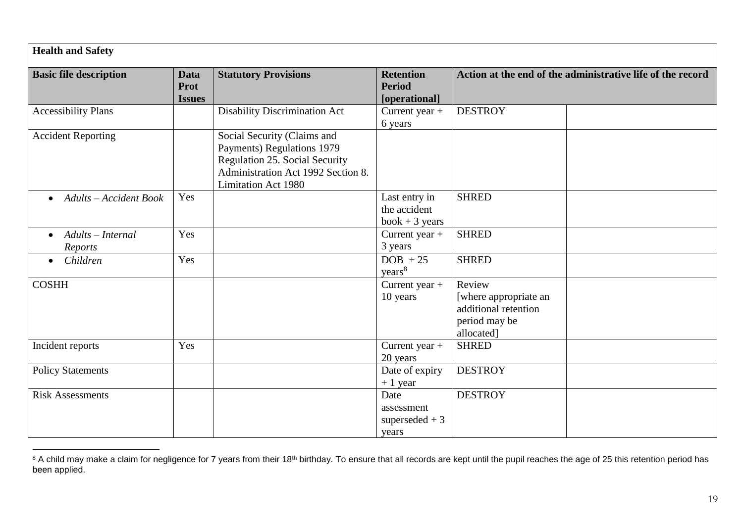| <b>Health and Safety</b>                   |                                      |                                                                                                                                                                 |                                                    |                                                                                        |  |  |  |
|--------------------------------------------|--------------------------------------|-----------------------------------------------------------------------------------------------------------------------------------------------------------------|----------------------------------------------------|----------------------------------------------------------------------------------------|--|--|--|
| <b>Basic file description</b>              | <b>Data</b><br>Prot<br><b>Issues</b> | <b>Statutory Provisions</b>                                                                                                                                     | <b>Retention</b><br><b>Period</b><br>[operational] | Action at the end of the administrative life of the record                             |  |  |  |
| <b>Accessibility Plans</b>                 |                                      | <b>Disability Discrimination Act</b>                                                                                                                            | Current year $+$<br>6 years                        | <b>DESTROY</b>                                                                         |  |  |  |
| <b>Accident Reporting</b>                  |                                      | Social Security (Claims and<br>Payments) Regulations 1979<br>Regulation 25. Social Security<br>Administration Act 1992 Section 8.<br><b>Limitation Act 1980</b> |                                                    |                                                                                        |  |  |  |
| <b>Adults</b> – Accident Book<br>$\bullet$ | Yes                                  |                                                                                                                                                                 | Last entry in<br>the accident<br>$book + 3 years$  | <b>SHRED</b>                                                                           |  |  |  |
| Adults - Internal<br>$\bullet$<br>Reports  | Yes                                  |                                                                                                                                                                 | Current year +<br>3 years                          | <b>SHRED</b>                                                                           |  |  |  |
| Children<br>$\bullet$                      | Yes                                  |                                                                                                                                                                 | $DOB + 25$<br>years <sup>8</sup>                   | <b>SHRED</b>                                                                           |  |  |  |
| <b>COSHH</b>                               |                                      |                                                                                                                                                                 | Current year $+$<br>10 years                       | Review<br>[where appropriate an<br>additional retention<br>period may be<br>allocated] |  |  |  |
| Incident reports                           | Yes                                  |                                                                                                                                                                 | Current year +<br>20 years                         | <b>SHRED</b>                                                                           |  |  |  |
| <b>Policy Statements</b>                   |                                      |                                                                                                                                                                 | Date of expiry<br>$+1$ year                        | <b>DESTROY</b>                                                                         |  |  |  |
| <b>Risk Assessments</b>                    |                                      |                                                                                                                                                                 | Date<br>assessment<br>superseded $+3$<br>years     | <b>DESTROY</b>                                                                         |  |  |  |

 $\overline{a}$ <sup>8</sup> A child may make a claim for negligence for 7 years from their 18<sup>th</sup> birthday. To ensure that all records are kept until the pupil reaches the age of 25 this retention period has been applied.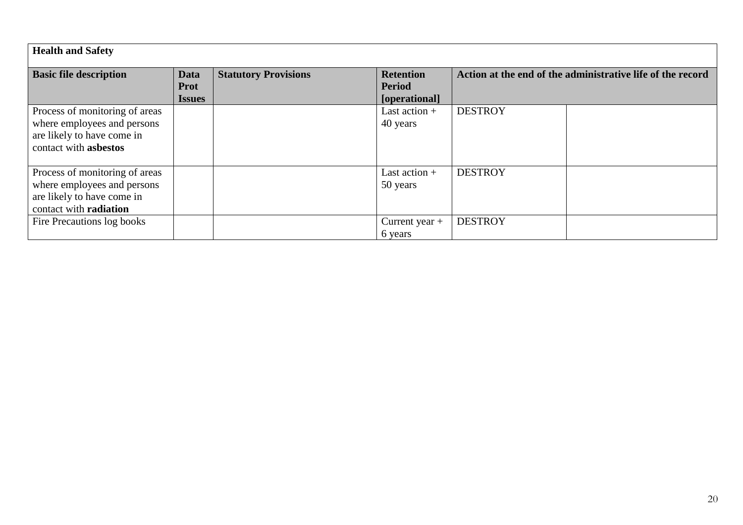| <b>Health and Safety</b>                                                                                              |                                      |                             |                                                    |                                                            |  |
|-----------------------------------------------------------------------------------------------------------------------|--------------------------------------|-----------------------------|----------------------------------------------------|------------------------------------------------------------|--|
| <b>Basic file description</b>                                                                                         | Data<br><b>Prot</b><br><b>Issues</b> | <b>Statutory Provisions</b> | <b>Retention</b><br><b>Period</b><br>[operational] | Action at the end of the administrative life of the record |  |
| Process of monitoring of areas<br>where employees and persons<br>are likely to have come in<br>contact with asbestos  |                                      |                             | Last action $+$<br>40 years                        | <b>DESTROY</b>                                             |  |
| Process of monitoring of areas<br>where employees and persons<br>are likely to have come in<br>contact with radiation |                                      |                             | Last action $+$<br>50 years                        | <b>DESTROY</b>                                             |  |
| Fire Precautions log books                                                                                            |                                      |                             | Current year $+$<br>6 years                        | <b>DESTROY</b>                                             |  |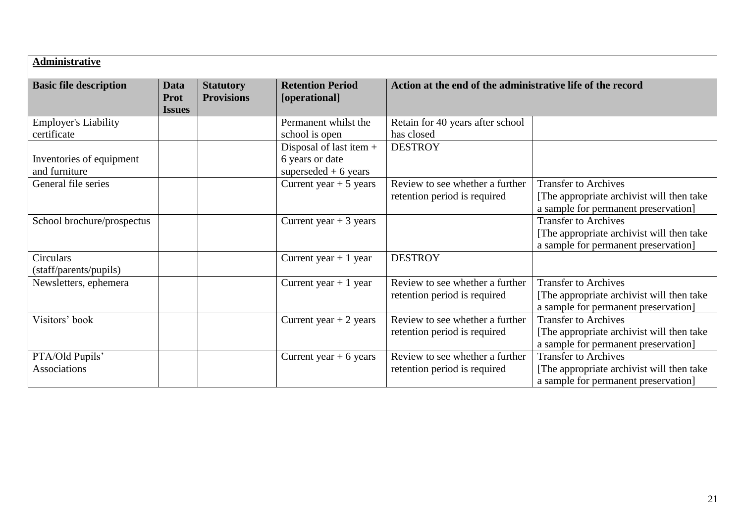| <b>Administrative</b>                                    |                               |                                       |                                                                                         |                                                                 |                                                                                                                   |
|----------------------------------------------------------|-------------------------------|---------------------------------------|-----------------------------------------------------------------------------------------|-----------------------------------------------------------------|-------------------------------------------------------------------------------------------------------------------|
| <b>Basic file description</b>                            | Data<br>Prot<br><b>Issues</b> | <b>Statutory</b><br><b>Provisions</b> | <b>Retention Period</b><br>[operational]                                                | Action at the end of the administrative life of the record      |                                                                                                                   |
| <b>Employer's Liability</b>                              |                               |                                       | Permanent whilst the                                                                    | Retain for 40 years after school                                |                                                                                                                   |
| certificate<br>Inventories of equipment<br>and furniture |                               |                                       | school is open<br>Disposal of last item $+$<br>6 years or date<br>superseded $+6$ years | has closed<br><b>DESTROY</b>                                    |                                                                                                                   |
| General file series                                      |                               |                                       | Current year $+5$ years                                                                 | Review to see whether a further<br>retention period is required | <b>Transfer to Archives</b><br>[The appropriate archivist will then take<br>a sample for permanent preservation]  |
| School brochure/prospectus                               |                               |                                       | Current year $+3$ years                                                                 |                                                                 | <b>Transfer to Archives</b><br>[The appropriate archivist will then take<br>a sample for permanent preservation]  |
| Circulars<br>(staff/parents/pupils)                      |                               |                                       | Current year $+1$ year                                                                  | <b>DESTROY</b>                                                  |                                                                                                                   |
| Newsletters, ephemera                                    |                               |                                       | Current year $+1$ year                                                                  | Review to see whether a further<br>retention period is required | <b>Transfer to Archives</b><br>[The appropriate archivist will then take]<br>a sample for permanent preservation] |
| Visitors' book                                           |                               |                                       | Current year $+2$ years                                                                 | Review to see whether a further<br>retention period is required | <b>Transfer to Archives</b><br>[The appropriate archivist will then take]<br>a sample for permanent preservation] |
| PTA/Old Pupils'<br><b>Associations</b>                   |                               |                                       | Current year $+ 6$ years                                                                | Review to see whether a further<br>retention period is required | <b>Transfer to Archives</b><br>The appropriate archivist will then take<br>a sample for permanent preservation]   |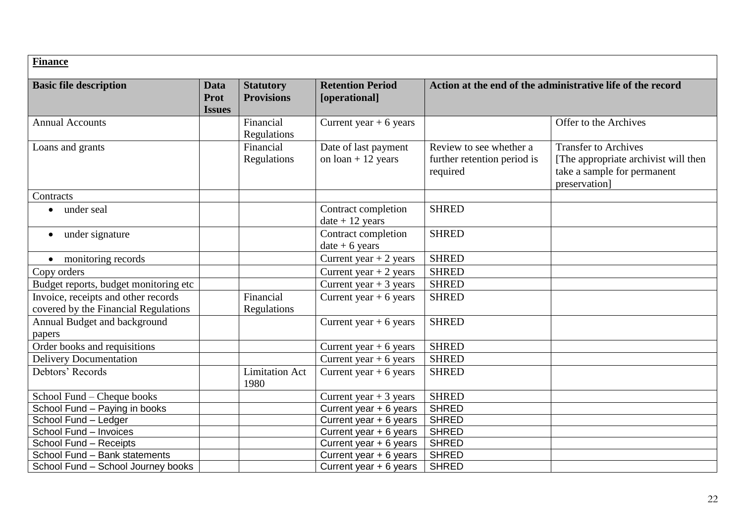#### **Finance Basic file description Data Prot Issues Statutory Provisions Retention Period [operational] Action at the end of the administrative life of the record** Annual Accounts Financial Regulations Current year + 6 years  $\vert$  (1) offer to the Archives Loans and grants Financial Regulations Date of last payment on  $\alpha$  loan + 12 years Review to see whether a further retention period is required Transfer to Archives [The appropriate archivist will then take a sample for permanent preservation] **Contracts** • under seal Contract completion  $date + 12 years$ **SHRED** • under signature  $|\hspace{.1cm}|$  Contract completion  $date + 6 years$ **SHRED** • monitoring records <br>
Current year + 2 years SHRED  $\frac{1}{2}$  Copy orders Copy orders Current year + 2 years SHRED Budget reports, budget monitoring etc Current year + 3 years SHRED Invoice, receipts and other records covered by the Financial Regulations Financial Regulations Current year + 6 years  $\vert$  SHRED Annual Budget and background papers Current year + 6 years  $\vert$  SHRED Order books and requisitions <br>Current year + 6 years SHRED Delivery Documentation and Current year + 6 years SHRED Debtors' Records <br>
Limitation Act 1980 Current year + 6 years  $\vert$  SHRED School Fund – Cheque books Current year + 3 years SHRED<br>School Fund – Paving in books Current year + 6 years SHRED School Fund – Paying in books<br>
School Fund – Ledger<br>
Current year + 6 years SHRED<br>
Current year + 6 years SHRED Current year  $+ 6$  years School Fund – Invoices<br>
School Fund – Receipts<br>
Current year + 6 years SHRED<br>
Current year + 6 years SHRED School Fund – Receipts **Current year + 6 years** School Fund – Receipts School Fund – Bank statements<br>
School Fund – School Journey books<br>
Current year + 6 years SHRED School Fund – School Journey books Current year + 6 years SHRED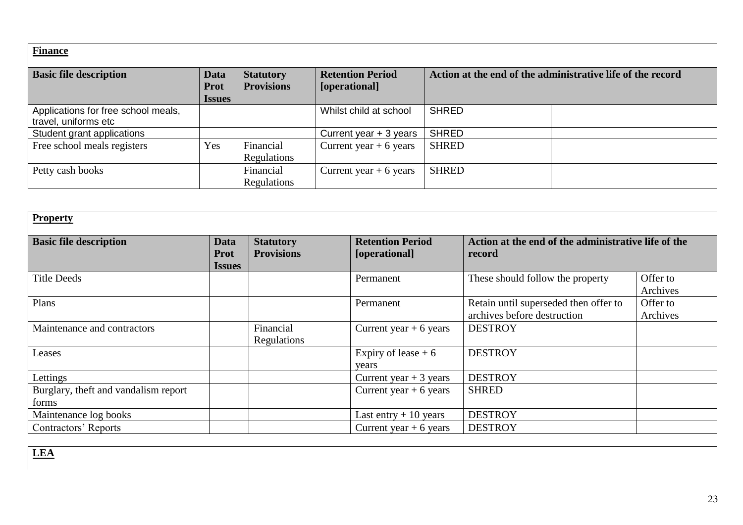# **Finance**

| <b>Basic file description</b>                               | Data<br><b>Prot</b><br><b>Issues</b> | <b>Statutory</b><br><b>Provisions</b> | <b>Retention Period</b><br>[operational] | Action at the end of the administrative life of the record |  |
|-------------------------------------------------------------|--------------------------------------|---------------------------------------|------------------------------------------|------------------------------------------------------------|--|
| Applications for free school meals,<br>travel, uniforms etc |                                      |                                       | Whilst child at school                   | <b>SHRED</b>                                               |  |
| Student grant applications                                  |                                      |                                       | Current year $+3$ years                  | <b>SHRED</b>                                               |  |
| Free school meals registers                                 | Yes                                  | Financial<br>Regulations              | Current year $+ 6$ years                 | <b>SHRED</b>                                               |  |
| Petty cash books                                            |                                      | Financial<br>Regulations              | Current year $+ 6$ years                 | <b>SHRED</b>                                               |  |

| <b>Property</b>                               |                                             |                                       |                                          |                                                                      |                      |
|-----------------------------------------------|---------------------------------------------|---------------------------------------|------------------------------------------|----------------------------------------------------------------------|----------------------|
| <b>Basic file description</b>                 | Data<br>Prot<br><i><u><b>Issues</b></u></i> | <b>Statutory</b><br><b>Provisions</b> | <b>Retention Period</b><br>[operational] | Action at the end of the administrative life of the<br>record        |                      |
| <b>Title Deeds</b>                            |                                             |                                       | Permanent                                | These should follow the property                                     | Offer to<br>Archives |
| Plans                                         |                                             |                                       | Permanent                                | Retain until superseded then offer to<br>archives before destruction | Offer to<br>Archives |
| Maintenance and contractors                   |                                             | Financial<br>Regulations              | Current year $+ 6$ years                 | <b>DESTROY</b>                                                       |                      |
| Leases                                        |                                             |                                       | Expiry of lease $+6$<br>vears            | <b>DESTROY</b>                                                       |                      |
| Lettings                                      |                                             |                                       | Current year $+3$ years                  | <b>DESTROY</b>                                                       |                      |
| Burglary, theft and vandalism report<br>forms |                                             |                                       | Current year $+ 6$ years                 | <b>SHRED</b>                                                         |                      |
| Maintenance log books                         |                                             |                                       | Last entry $+10$ years                   | <b>DESTROY</b>                                                       |                      |
| Contractors' Reports                          |                                             |                                       | Current year $+ 6$ years                 | <b>DESTROY</b>                                                       |                      |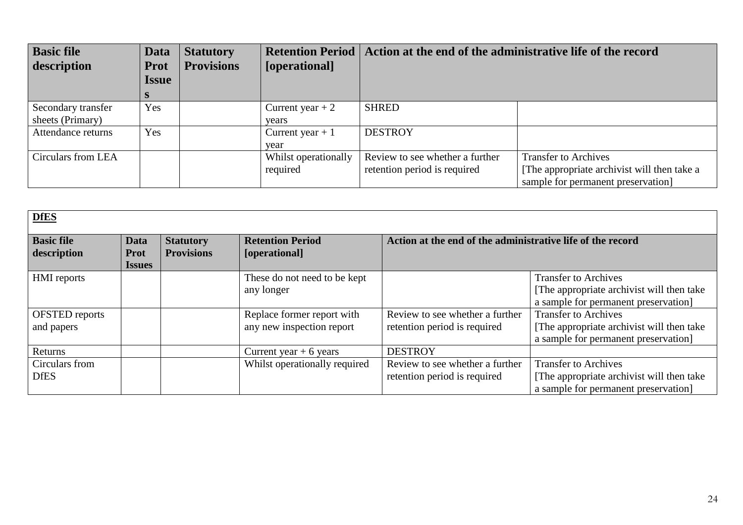| <b>Basic file</b><br>description | Data<br><b>Prot</b> | <b>Statutory</b><br><b>Provisions</b> | [operational]        | Retention Period   Action at the end of the administrative life of the record |                                             |  |
|----------------------------------|---------------------|---------------------------------------|----------------------|-------------------------------------------------------------------------------|---------------------------------------------|--|
|                                  | <b>Issue</b>        |                                       |                      |                                                                               |                                             |  |
|                                  |                     |                                       |                      |                                                                               |                                             |  |
| Secondary transfer               | Yes                 |                                       | Current year $+2$    | <b>SHRED</b>                                                                  |                                             |  |
| sheets (Primary)                 |                     |                                       | vears                |                                                                               |                                             |  |
| Attendance returns               | Yes                 |                                       | Current year $+1$    | <b>DESTROY</b>                                                                |                                             |  |
|                                  |                     |                                       | year                 |                                                                               |                                             |  |
| Circulars from LEA               |                     |                                       | Whilst operationally | Review to see whether a further                                               | <b>Transfer to Archives</b>                 |  |
|                                  |                     |                                       | required             | retention period is required                                                  | [The appropriate archivist will then take a |  |
|                                  |                     |                                       |                      |                                                                               | sample for permanent preservation]          |  |

| <b>DfES</b>                         |                                      |                                       |                                                         |                                                                 |                                                                                                                   |  |
|-------------------------------------|--------------------------------------|---------------------------------------|---------------------------------------------------------|-----------------------------------------------------------------|-------------------------------------------------------------------------------------------------------------------|--|
| <b>Basic file</b><br>description    | Data<br><b>Prot</b><br><i>Issues</i> | <b>Statutory</b><br><b>Provisions</b> | <b>Retention Period</b><br>[operational]                | Action at the end of the administrative life of the record      |                                                                                                                   |  |
| <b>HMI</b> reports                  |                                      |                                       | These do not need to be kept<br>any longer              |                                                                 | <b>Transfer to Archives</b><br>[The appropriate archivist will then take<br>a sample for permanent preservation]  |  |
| <b>OFSTED</b> reports<br>and papers |                                      |                                       | Replace former report with<br>any new inspection report | Review to see whether a further<br>retention period is required | <b>Transfer to Archives</b><br>[The appropriate archivist will then take]<br>a sample for permanent preservation] |  |
| Returns                             |                                      |                                       | Current year $+ 6$ years                                | <b>DESTROY</b>                                                  |                                                                                                                   |  |
| Circulars from<br><b>DfES</b>       |                                      |                                       | Whilst operationally required                           | Review to see whether a further<br>retention period is required | <b>Transfer to Archives</b><br>[The appropriate archivist will then take]<br>a sample for permanent preservation  |  |